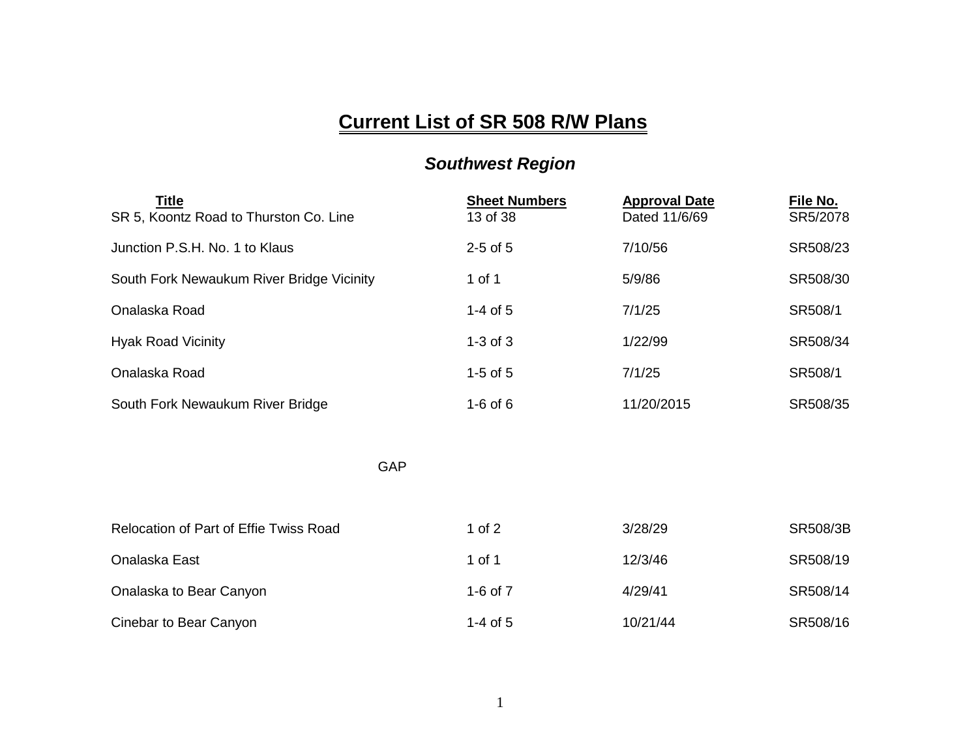## **Current List of SR 508 R/W Plans**

## *Southwest Region*

| <u>Title</u><br>SR 5, Koontz Road to Thurston Co. Line | <b>Sheet Numbers</b><br>13 of 38 | <b>Approval Date</b><br>Dated 11/6/69 | File No.<br>SR5/2078 |
|--------------------------------------------------------|----------------------------------|---------------------------------------|----------------------|
| Junction P.S.H. No. 1 to Klaus                         | $2-5$ of $5$                     | 7/10/56                               | SR508/23             |
| South Fork Newaukum River Bridge Vicinity              | 1 of 1                           | 5/9/86                                | SR508/30             |
| Onalaska Road                                          | 1-4 of $5$                       | 7/1/25                                | SR508/1              |
| <b>Hyak Road Vicinity</b>                              | $1-3$ of $3$                     | 1/22/99                               | SR508/34             |
| Onalaska Road                                          | $1-5$ of $5$                     | 7/1/25                                | SR508/1              |
| South Fork Newaukum River Bridge                       | $1-6$ of $6$                     | 11/20/2015                            | SR508/35             |
| <b>GAP</b>                                             |                                  |                                       |                      |
| Relocation of Part of Effie Twiss Road                 | 1 of $2$                         | 3/28/29                               | SR508/3B             |
| Onalaska East                                          | 1 of 1                           | 12/3/46                               | SR508/19             |
| Onalaska to Bear Canyon                                | 1-6 of $7$                       | 4/29/41                               | SR508/14             |
| Cinebar to Bear Canyon                                 | $1-4$ of $5$                     | 10/21/44                              | SR508/16             |